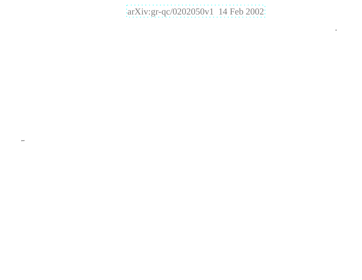# [arXiv:gr-qc/0202050v1 14 Feb 2002](http://arxiv.org/abs/gr-qc/0202050v1)

∗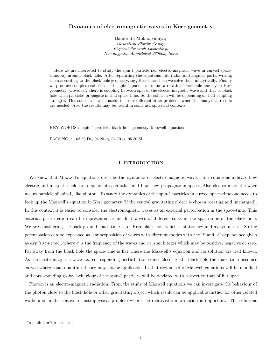# Dynamics of electromagnetic waves in Kerr geometry

Banibrata Mukhopadhyay Theoretical Physics Group, Physical Research Laboratory, Navrangpura, Ahmedabad-380009, India

Here we are interested to study the spin-1 particle i.e., electro-magnetic wave in curved spacetime, say around black hole. After separating the equations into radial and angular parts, writing them according to the black hole geometry, say, Kerr black hole we solve them analytically. Finally we produce complete solution of the spin-1 particles around a rotating black hole namely in Kerr geometry. Obviously there is coupling between spin of the electro-magnetic wave and that of black hole when particles propagate in that space-time. So the solution will be depending on that coupling strength. This solution may be useful to study different other problems where the analytical results are needed. Also the results may be useful in some astrophysical contexts.

KEY WORDS : spin-1 particle, black hole geometry, Maxwell equations

PACS NO. : 03.50.De, 04.20.-q, 04.70.-s, 95.30.Sf

#### I. INTRODUCTION

We know that Maxwell's equations describe the dynamics of electro-magnetic wave. Four equations indicate how electric and magnetic field are dependent each other and how they propagate in space. Also electro-magnetic wave means particle of spin-1, like photon. To study the dynamics of the spin-1 particles in curved space-time one needs to look up the Maxwell's equation in Kerr geometry (if the central gravitating object is chosen rotating and uncharged). In this context it is easier to consider the electromagnetic waves as an external perturbation in the space-time. This external perturbation can be represented as incident waves of different sorts in the space-time of the black hole. We are considering the back ground space-time as of Kerr black hole which is stationary and axisymmetric. So the perturbation can be expressed as a superposition of waves with different modes with the 't' and ' $\phi$ ' dependence given as  $exp[i(\sigma t + m\phi)]$ , where  $\sigma$  is the frequency of the waves and m is an integer which may be positive, negative or zero. Far away from the black hole the space-time is flat where the Maxwell's equation and its solution are well known. As the electromagnetic wave i.e., corresponding perturbation comes closer to the black hole the space-time becomes curved where usual quantum theory may not be applicable. In that region, set of Maxwell equations will be modified and corresponding global behaviour of the spin-1 particles will be deviated with respect to that of flat space.

Photon is an electro-magnetic radiation. From the study of Maxwell equations we can investigate the behaviour of the photon close to the black hole or other gravitating object which result can be applicable further for other related works and in the context of astrophysical problem where the relativistic information is important. The solutions

<sup>∗</sup> e-mail: bm@prl.ernet.in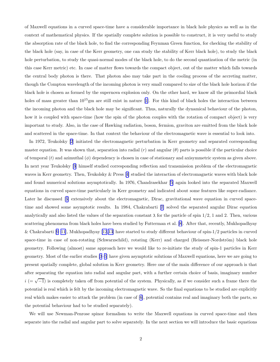of Maxwell equations in a curved space-time have a considerable importance in black hole physics as well as in the context of mathematical physics. If the spatially complete solution is possible to construct, it is very useful to study the absorption rate of the black hole, to find the corresponding Feynman Green function, for checking the stability of the black hole (say, in case of the Kerr geometry, one can study the stability of Kerr black hole), to study the black hole perturbation, to study the quasi-normal modes of the black hole, to do the second quantization of the metric (in this case Kerr metric) etc. In case of matter flows towards the compact object, out of the matter which falls towards the central body photon is there. That photon also may take part in the cooling process of the accreting matter, though the Compton wavelength of the incoming photon is very small compared to size of the black hole horizon if the black hole is chosen as formed by the supernova explosion only. On the other hard, we know all the primordial black holesof mass greater than  $10^{15}$ gm are still exist in nature [[1\]](#page-15-0). For this kind of black holes the interaction between the incoming photon and the black hole may be significant. Thus, naturally the dynamical behaviour of the photon, how it is coupled with space-time (how the spin of the photon couples with the rotation of compact object) is very important to study. Also, in the case of Hawking radiation, boson, fermion, graviton are emitted from the black hole and scattered in the space-time. In that context the behaviour of the electromagnetic wave is essential to look into.

In 1972, Teukolsky [\[2](#page-15-0)] initiated the electromagnetic perturbation in Kerr geometry and separated corresponding master equation. It was shown that, separation into radial  $(r)$  and angular  $(\theta)$  parts is possible if the particular choice of temporal  $(t)$  and azimuthal  $(\phi)$  dependency is chosen in case of stationary and axisymmetric system as given above. In next year Teukolsky[[3\]](#page-15-0) himself studied corresponding reflection and transmission problem of the electromagnetic waves in Kerr geometry. Then, Teukolsky & Press[[4\]](#page-15-0) studied the interaction of electromagnetic waves with black hole and found numerical solutions asymptotically. In 1976, Chandrasekhar[[5\]](#page-15-0) again looked into the separated Maxwell equations in curved space-time particularly in Kerr geometry and indicated about some features like super-radiance. Laterhe discussed [[6\]](#page-15-0) extensively about the electromagnetic, Dirac, gravitational wave equation in curved spacetime and showed some asymptotic results. In 1984, Chakrabarti [\[7](#page-15-0)] solved the separated angular Dirac equation analytically and also listed the values of the separation constant  $\lambda$  for the particle of spin 1/2, 1 and 2. Then, various scattering phenomena from black holes have been studied by Futterman et al. [\[8](#page-15-0)]. After that, recently, Mukhopadhyay & Chakrabarti [\[9–11](#page-15-0)], Mukhopadhyay [\[12,13](#page-15-0)] have started to study different behaviour of spin-1/2 particles in curved space-time in case of non-rotating (Schwarzschild), rotating (Kerr) and charged (Reissner-Nordström) black hole geometry. Following (almost) same approach here we would like to re-initiate the study of spin-1 particles in Kerr geometry. Most of the earlier studies [\[3–5](#page-15-0)] have given asymptotic solutions of Maxwell equations, here we are going to present spatially complete, global solution in Kerr geometry. Here one of the main difference of our approach is that after separating the equation into radial and angular part, with a further certain choice of basis, imaginary number  $i (= \sqrt{-1})$  is completely taken off from potential of the system. Physically, as if we consider such a frame there the potential is real which is felt by the incoming electromagnetic wave. So the final equations to be studied are explicitly real which makes easier to attack the problem (in case of[[6\]](#page-15-0), potential contains real and imaginary both the parts, so the potential behaviour had to be studied separately).

We will use Newman-Penrose spinor formalism to write the Maxwell equations in curved space-time and then separate into the radial and angular part to solve separately. In the next section we will introduce the basic equations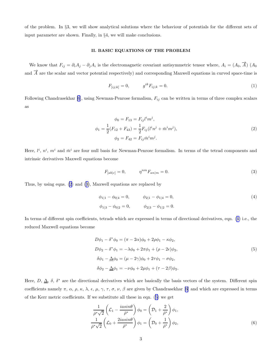<span id="page-3-0"></span>of the problem. In §3, we will show analytical solutions where the behaviour of potentials for the different sets of input parameter are shown. Finally, in §4, we will make conclusions.

### II. BASIC EQUATIONS OF THE PROBLEM

We know that  $F_{ij} = \partial_i A_j - \partial_j A_i$  is the electromagnetic covariant antisymmetric tensor where,  $A_i = (A_0, \vec{A}) (A_0, \vec{A})$ and  $\vec{A}$  are the scalar and vector potential respectively) and corresponding Maxwell equations in curved space-time is

$$
F_{[ij;k]} = 0, \t g^{ik} F_{ij;k} = 0.
$$
\t(1)

Following Chandrasekhar [\[6](#page-15-0)], using Newman-Penrose formalism,  $F_{ij}$  can be written in terms of three complex scalars as

$$
\phi_0 = F_{13} = F_{ij}l^i m^j,
$$
  
\n
$$
\phi_1 = \frac{1}{2}(F_{12} + F_{43}) = \frac{1}{2}F_{ij}(l^i n^j + \bar{m}^i m^j),
$$
  
\n
$$
\phi_2 = F_{42} = F_{ij}\bar{m}^i m^j.
$$
\n(2)

Here,  $l^i$ ,  $n^i$ ,  $m^i$  and  $\bar{m}^i$  are four null basis for Newman-Penrose formalism. In terms of the tetrad components and intrinsic derivatives Maxwell equations become

$$
F_{[ab|c]} = 0, \t \eta^{nm} F_{an|m} = 0.
$$
\t(3)

Thus, by using eqns. (2) and (3), Maxwell equations are replaced by

$$
\phi_{1|1} - \phi_{0|4} = 0, \qquad \phi_{2|1} - \phi_{1|4} = 0,
$$
  
\n
$$
\phi_{1|3} - \phi_{0|2} = 0, \qquad \phi_{2|3} - \phi_{1|2} = 0.
$$
\n(4)

In terms of different spin coefficients, tetrads which are expressed in terms of directional derivatives, eqn. (4) i.e., the reduced Maxwell equations become

$$
D\phi_1 - \delta^* \phi_0 = (\pi - 2\alpha)\phi_0 + 2\rho \phi_1 - \kappa \phi_2,
$$
  
\n
$$
D\phi_2 - \delta^* \phi_1 = -\lambda \phi_0 + 2\pi \phi_1 + (\rho - 2\epsilon)\phi_2,
$$
  
\n
$$
\delta\phi_1 - \underline{\Delta}\phi_0 = (\mu - 2\gamma)\phi_0 + 2\tau \phi_1 - \sigma \phi_2,
$$
  
\n
$$
\delta\phi_2 - \underline{\Delta}\phi_1 = -\nu \phi_0 + 2\mu \phi_1 + (\tau - 2\beta)\phi_2.
$$
\n(5)

Here,  $D, \Delta, \delta, \delta^*$  are the directional derivatives which are basically the basis vectors of the system. Different spin coefficientsnamely  $\pi$ ,  $\alpha$ ,  $\rho$ ,  $\kappa$ ,  $\lambda$ ,  $\epsilon$ ,  $\mu$ ,  $\gamma$ ,  $\tau$ ,  $\sigma$ ,  $\nu$ ,  $\beta$  are given by Chandrasekhar [[6\]](#page-15-0) and which are expressed in terms of the Kerr metric coefficients. If we substitute all these in eqn. (5) we get

$$
\frac{1}{\bar{\rho}^*\sqrt{2}} \left( \mathcal{L}_1 - \frac{i a \sin \theta}{\bar{\rho}^*} \right) \phi_0 = \left( \mathcal{D}_1 + \frac{2}{\bar{\rho}^*} \right) \phi_1,
$$
\n
$$
\frac{1}{\bar{\rho}^*\sqrt{2}} \left( \mathcal{L}_0 + \frac{2 i a \sin \theta}{\bar{\rho}^*} \right) \phi_1 = \left( \mathcal{D}_0 + \frac{1}{\bar{\rho}^*} \right) \phi_2,
$$
\n(6)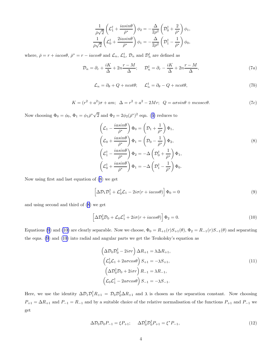$$
\frac{1}{\bar{\rho}\sqrt{2}}\left(\mathcal{L}_1^{\dagger} + \frac{iasin\theta}{\bar{\rho}^*}\right)\phi_2 = -\frac{\Delta}{2\rho^2}\left(\mathcal{D}_0^{\dagger} + \frac{2}{\bar{\rho}^*}\right)\phi_1,
$$
\n
$$
\frac{1}{\bar{\rho}\sqrt{2}}\left(\mathcal{L}_0^{\dagger} + \frac{2iasin\theta}{\bar{\rho}^*}\right)\phi_1 = -\frac{\Delta}{2\rho^2}\left(\mathcal{D}_1^{\dagger} - \frac{1}{\bar{\rho}^*}\right)\phi_0,
$$

<span id="page-4-0"></span>where,  $\bar{\rho} = r + i\alpha\cos\theta$ ,  $\bar{\rho}^* = r - i\alpha\cos\theta$  and  $\mathcal{L}_n$ ,  $\mathcal{L}_n^{\dagger}$ ,  $\mathcal{D}_n$  and  $\mathcal{D}_n^{\dagger}$  are defined as

$$
\mathcal{D}_n = \partial_r + \frac{iK}{\Delta} + 2n \frac{r - M}{\Delta}; \qquad \mathcal{D}_n^{\dagger} = \partial_r - \frac{iK}{\Delta} + 2n \frac{r - M}{\Delta}, \tag{7a}
$$

$$
\mathcal{L}_n = \partial_\theta + Q + n \cot \theta; \qquad \mathcal{L}_n^\dagger = \partial_\theta - Q + n \cot \theta,\tag{7b}
$$

$$
K = (r2 + a2)\sigma + am; \Delta = r2 + a2 - 2Mr; Q = a\sigma sin\theta + m\sigma sec\theta.
$$
 (7c)

Nowchoosing  $\Phi_0 = \phi_0$ ,  $\Phi_1 = \phi_1 \bar{\rho}^* \sqrt{2}$  and  $\Phi_2 = 2\phi_2(\bar{\rho}^*)^2$  eqn. ([6\)](#page-3-0) reduces to

$$
\left(\mathcal{L}_1 - \frac{i a \sin \theta}{\bar{\rho}^*}\right) \Phi_0 = \left(\mathcal{D}_1 + \frac{1}{\bar{\rho}^*}\right) \Phi_1,
$$
\n
$$
\left(\mathcal{L}_0 + \frac{i a \sin \theta}{\bar{\rho}^*}\right) \Phi_1 = \left(\mathcal{D}_0 - \frac{1}{\bar{\rho}^*}\right) \Phi_2,
$$
\n
$$
\left(\mathcal{L}_1^{\dagger} - \frac{i a \sin \theta}{\bar{\rho}^*}\right) \Phi_2 = -\Delta \left(\mathcal{D}_0^{\dagger} + \frac{1}{\bar{\rho}^*}\right) \Phi_1,
$$
\n
$$
\left(\mathcal{L}_0^{\dagger} + \frac{i a \sin \theta}{\bar{\rho}^*}\right) \Phi_1 = -\Delta \left(\mathcal{D}_1^{\dagger} - \frac{1}{\bar{\rho}^*}\right) \Phi_0.
$$
\n(8)

Now using first and last equation of (8) we get

$$
\left[\Delta \mathcal{D}_1 \mathcal{D}_1^\dagger + \mathcal{L}_0^\dagger \mathcal{L}_1 - 2i\sigma (r + i a cos \theta)\right] \Phi_0 = 0 \tag{9}
$$

and using second and third of (8) we get

$$
\[ \Delta \mathcal{D}_0^{\dagger} \mathcal{D}_0 + \mathcal{L}_0 \mathcal{L}_1^{\dagger} + 2i\sigma (r + iacos\theta) \] \Phi_2 = 0. \tag{10}
$$

Equations (9) and (10) are clearly separable. Now we choose,  $\Phi_0 = R_{+1}(r)S_{+1}(\theta)$ ,  $\Phi_2 = R_{-1}(r)S_{-1}(\theta)$  and separating the eqns. (9) and (10) into radial and angular parts we get the Teukolsky's equation as

$$
\left(\Delta \mathcal{D}_0 \mathcal{D}_0^{\dagger} - 2i\sigma r\right) \Delta R_{+1} = \lambda \Delta R_{+1},
$$
\n
$$
\left(\mathcal{L}_0^{\dagger} \mathcal{L}_1 + 2a\sigma cos\theta\right) S_{+1} = -\lambda S_{+1},
$$
\n
$$
\left(\Delta \mathcal{D}_0^{\dagger} \mathcal{D}_0 + 2i\sigma r\right) R_{-1} = \lambda R_{-1},
$$
\n
$$
\left(\mathcal{L}_0 \mathcal{L}_1^{\dagger} - 2a\sigma cos\theta\right) S_{-1} = -\lambda S_{-1}.
$$
\n(11)

Here, we use the identity  $\Delta \mathcal{D}_1 \mathcal{D}_1^{\dagger} R_{+1} = \mathcal{D}_0 \mathcal{D}_0^{\dagger} \Delta R_{+1}$  and  $\lambda$  is chosen as the separation constant. Now choosing  $P_{+1} = \Delta R_{+1}$  and  $P_{-1} = R_{-1}$  and by a suitable choice of the relative normalisation of the functions  $P_{+1}$  and  $P_{-1}$  we get

$$
\Delta \mathcal{D}_0 \mathcal{D}_0 P_{-1} = \xi P_{+1}; \quad \Delta \mathcal{D}_0^{\dagger} \mathcal{D}_0^{\dagger} P_{+1} = \xi^* P_{-1}, \tag{12}
$$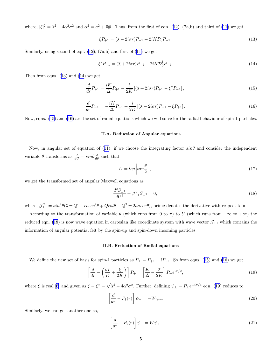<span id="page-5-0"></span>where, $|\xi|^2 = \lambda^2 - 4\alpha^2 \sigma^2$  and  $\alpha^2 = a^2 + \frac{am}{\sigma}$ . Thus, from the first of eqn. ([12\)](#page-4-0), (7a,b) and third of [\(11\)](#page-4-0) we get

$$
\xi P_{+1} = (\lambda - 2i\sigma r)P_{-1} + 2iK\mathcal{D}_0 P_{-1}.
$$
\n(13)

Similarly,using second of eqn.  $(12)$ ,  $(7a,b)$  and first of  $(11)$  $(11)$  we get

$$
\xi^* P_{-1} = (\lambda + 2i\sigma r) P_{+1} - 2iK \mathcal{D}_0^{\dagger} P_{+1}.
$$
\n(14)

Then from eqns. (13) and (14) we get

$$
\frac{d}{dr}P_{+1} = \frac{iK}{\Delta}P_{+1} - \frac{i}{2K}\left[ (\lambda + 2i\sigma r)P_{+1} - \xi^* P_{-1} \right],\tag{15}
$$

$$
\frac{d}{dr}P_{-1} = -\frac{iK}{\Delta}P_{-1} + \frac{i}{2K} \left[ (\lambda - 2i\sigma r)P_{-1} - \xi P_{+1} \right].
$$
\n(16)

Now, eqns. (15) and (16) are the set of radial equations which we will solve for the radial behaviour of spin-1 particles.

## II.A. Reduction of Angular equations

Now,in angular set of equation of ([11\)](#page-4-0), if we choose the integrating factor  $sin\theta$  and consider the independent variable  $\theta$  transforms as  $\frac{d}{dU} = \sin \theta \frac{d}{d\theta}$  such that

$$
U = \log \left| \tan \frac{\theta}{2} \right|,\tag{17}
$$

we get the transformed set of angular Maxwell equations as

$$
\frac{d^2S_{\pm 1}}{dU^2} + \mathcal{J}_{\pm 1}^2 S_{\pm 1} = 0,\tag{18}
$$

where,  $\mathcal{J}_{\pm 1}^2 = \sin^2\theta(\lambda \pm Q' - \csc^2\theta \mp Q\cot\theta - Q^2 \pm 2a\sigma\cos\theta)$ , prime denotes the derivative with respect to  $\theta$ .

According to the transformation of variable  $\theta$  (which runs from 0 to  $\pi$ ) to U (which runs from  $-\infty$  to  $+\infty$ ) the reduced eqn. (18) is now wave equation in cartesian like coordinate system with wave vector  $\mathcal{J}_{\pm 1}$  which contains the information of angular potential felt by the spin-up and spin-down incoming particles.

#### II.B. Reduction of Radial equations

We define the new set of basis for spin-1 particles as  $P_{\pm} = P_{+1} \pm i P_{-1}$ . So from eqns. (15) and (16) we get

$$
\left[\frac{d}{dr} - \left(\frac{\sigma r}{K} + \frac{\xi}{2K}\right)\right] P_+ = \left[\frac{K}{\Delta} - \frac{\chi}{2K}\right] P_- e^{i\pi/2},\tag{19}
$$

where  $\xi$  is real [\[6](#page-15-0)] and given as  $\xi = \xi^* = \sqrt{\lambda^2 - 4\alpha^2 \sigma^2}$ . Further, defining  $\psi_{\pm} = P_{\pm} e^{\mp i\pi/4}$  eqn. (19) reduces to

$$
\left[\frac{d}{dr} - P_1(r)\right]\psi_+ = -W\psi_-\tag{20}
$$

Similarly, we can get another one as,

$$
\left[\frac{d}{dr} - P_2(r)\right]\psi_- = W\psi_+.\tag{21}
$$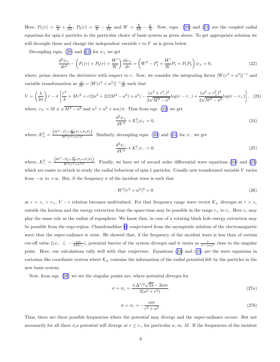<span id="page-6-0"></span>Here, $P_1(r) = \frac{\sigma r}{K} + \frac{\xi}{2K}$ ,  $P_2(r) = \frac{\sigma r}{K} - \frac{\xi}{2K}$  and  $W = \frac{\lambda}{2K} - \frac{K}{\Delta}$ . Now, eqns. [\(20\)](#page-5-0) and ([21\)](#page-5-0) are the coupled radial equations for spin-1 particles in the particular choice of basis system as given above. To get appropriate solution we will decouple those and change the independent variable  $r$  to  $V$  as is given below.

Decoupling eqns. [\(20](#page-5-0)) and [\(21\)](#page-5-0) for  $\psi_+$  we get

$$
\frac{d^2\psi_+}{dr^2} - \left(P_1(r) + P_2(r) + \frac{W'}{W}\right)\frac{d\psi_+}{dr} + \left(W^2 - P_1' + \frac{W'}{W}P_1 + P_1P_2\right)\psi_+ = 0,\tag{22}
$$

where, prime denotes the derivative with respect to r. Now, we consider the integrating factor  $[W(r^2 + \alpha^2)]^{-1}$  and variable transformation as  $\frac{d}{dV} = [W(r^2 + \alpha^2)]^{-1} \frac{d}{dr}$  such that

$$
V = \left(\frac{\lambda}{2\sigma}\right)r - \sigma\left[\frac{r^3}{3} + Mr^2 + r(2\alpha^2 + 2(2M^2 - a^2) + a^2) - \frac{(\alpha^2 + r^2 - 2)^2}{2\sqrt{M^2 - a^2}}log(r - r) + \frac{(\alpha^2 + r^2 + 2)^2}{2\sqrt{M^2 - a^2}}log(r - r) + \frac{(\alpha^2 + r^2 + 2)^2}{2\sqrt{M^2 - a^2}}log(r - r) + \frac{(\alpha^2 + r^2 + 2)^2}{2\sqrt{M^2 - a^2}}log(r - r) + \frac{(\alpha^2 + r^2 + 2)^2}{2\sqrt{M^2 - a^2}}log(r - r) + \frac{(\alpha^2 + r^2 + 2)^2}{2\sqrt{M^2 - a^2}}log(r - r) + \frac{(\alpha^2 + r^2 + 2)^2}{2\sqrt{M^2 - a^2}}log(r - r) + \frac{(\alpha^2 + r^2 + 2)^2}{2\sqrt{M^2 - a^2}}log(r - r) + \frac{(\alpha^2 + r^2 + 2)^2}{2\sqrt{M^2 - a^2}}log(r - r) + \frac{(\alpha^2 + r^2 + 2)^2}{2\sqrt{M^2 - a^2}}log(r - r) + \frac{(\alpha^2 + r^2 + 2)^2}{2\sqrt{M^2 - a^2}}log(r - r) + \frac{(\alpha^2 + r^2 + 2)^2}{2\sqrt{M^2 - a^2}}log(r - r) + \frac{(\alpha^2 + r^2 + 2)^2}{2\sqrt{M^2 - a^2}}log(r - r) + \frac{(\alpha^2 + r^2 + 2)^2}{2\sqrt{M^2 - a^2}}log(r - r) + \frac{(\alpha^2 + r^2 + 2)^2}{2\sqrt{M^2 - a^2}}log(r - r) + \frac{(\alpha^2 + r^2 + 2)^2}{2\sqrt{M^2 - a^2}}log(r - r) + \frac{(\alpha^2 + r^2 + 2)^2}{2\sqrt{M^2 - a^2}}log(r - r) + \frac{(\alpha^2 + r^2 + 2)^2}{2\sqrt{M^2 - a^2}}log(r - r) + \frac{(\alpha^2 + r^2 + 2)^2}{2\sqrt{M^2 - a^2}}log(r - r) + \frac{(\alpha^2 + r^2 + 2)^2}{2\sqrt{M^2 - a^2}}}
$$

where,  $r_{\pm} = M \pm \sqrt{M^2 - a^2}$  and  $\alpha^2 = a^2 + am/\sigma$ . Thus from eqn. (22) we get

$$
\frac{d^2\psi_+}{dV^2} + \mathcal{K}_+^2 \psi_+ = 0,\tag{24}
$$

where,  $\mathcal{K}_{+}^{2} = \frac{\left(W^{2} - P_{1}^{\prime} + \frac{W^{\prime}}{W} P_{1} + P_{1} P_{2}\right)}{W^{2} (r^{2} + \alpha^{2})^{2}}$  $\frac{1 + \sqrt{w^2 + 2^2 + 2^2}}{W^2(r^2 + \alpha^2)^2}$  $\frac{1 + \sqrt{w^2 + 2^2 + 2^2}}{W^2(r^2 + \alpha^2)^2}$  $\frac{1 + \sqrt{w^2 + 2^2 + 2^2}}{W^2(r^2 + \alpha^2)^2}$ . Similarly, decoupling eqns. [\(20](#page-5-0)) and ([21\)](#page-5-0) for  $\psi$  we get

$$
\frac{d^2\psi_-}{dV^2} + \mathcal{K}_-^2 \psi_- = 0,\tag{25}
$$

where,  $\mathcal{K}^2 = \frac{W^2 - P'_2 + \frac{W'}{W} P_2 + P_1 P_2}{W^2 (r^2 + \alpha^2)^2}$  $\frac{2+\omega+2+1-1-2}{W^2(r^2+\alpha^2)^2}$ . Finally, we have set of second order differential wave equations (24) and (25) which are easier to attack to study the radial behaviour of spin-1 particles. Usually new transformed variable V varies from  $-\infty$  to  $+\infty$ . But, if the frequency  $\sigma$  of the incident wave is such that

$$
W^2(r^2 + \alpha^2)^2 = 0\tag{26}
$$

at  $r = r_c > r_+$ ,  $V - r$  relation becomes multivalued. For that frequency range wave vector  $\mathcal{K}_{\pm}$  diverges at  $r = r_c$ outside the horizon and the energy extraction from the space-time may be possible in the range  $r_+$  to  $r_c$ . Here  $r_c$  may play the same role as the radius of ergosphere. We know that, in case of a rotating black hole energy extraction may be possible from the ergo-region. Chandrasekhar [\[6](#page-15-0)] conjectured from the asymptotic solution of the electromagnetic wave that the super-radiance is exist. He showed that, if the frequency of the incident wave is less than of certain cut-off value (i.e.,  $\lesssim -\frac{am}{2Mr_+}$ ), potential barrier of the system diverges and it varies as  $\frac{1}{(r-|\alpha|)^4}$  close to the singular point. Here, our calculations tally well with that conjecture. Equations (24) and (25) are the wave equations in cartesian like coordinate system where  $\mathcal{K}_{\pm}$  contains the information of the radial potential felt by the particles in the new basis system.

Now, from eqn. (26) we see the singular points are, where potential diverges for

$$
\sigma = \sigma_c = \frac{\pm \Delta^{1/2} \sqrt{2\lambda} - 2am}{2(a^2 + r^2)},
$$
\n(27*a*)

$$
\sigma = \sigma_c = -\frac{am}{r^2 + a^2}.\tag{27b}
$$

Thus, there are three possible frequencies where the potential may diverge and the super-radiance occurs. But not necessarily for all three  $\sigma_c$ s potential will diverge at  $r \ge r_+$  for particular a, m, M. If the frequencies of the incident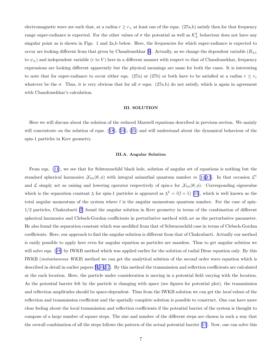electromagnetic wave are such that, at a radius  $r \geq r_+$  at least one of the eqns. (27a,b) satisfy then for that frequency range super-radiance is expected. For the other values of  $\sigma$  the potential as well as  $\mathcal{K}^2_{\pm}$  behaviour does not have any singular point as is shown in Figs. 1 and 2a,b below. Here, the frequencies for which super-radiance is expected to occurare looking different from that given by Chandrasekhar [[6\]](#page-15-0). Actually, as we change the dependent variable  $(R_{+1})$ to  $\psi_{\pm}$ ) and independent variable (r to V) here in a different manner with respect to that of Chandrasekhar, frequency expressions are looking different apparently but the physical meanings are same for both the cases. It is interesting to note that for super-radiance to occur either eqn. (27a) or (27b) or both have to be satisfied at a radius  $r \leq r_c$ whatever be the  $\sigma$ . Thus, it is very obvious that for all  $\sigma$  eqns. (27a.b) do not satisfy, which is again in agreement with Chandrasekhar's calculation.

#### III. SOLUTION

Here we will discuss about the solution of the reduced Maxwell equations described in previous section. We mainly willconcentrate on the solution of eqns. ([18\)](#page-5-0), [\(24](#page-6-0)), [\(25](#page-6-0)) and will understand about the dynamical behaviour of the spin-1 particles in Kerr geometry.

#### III.A. Angular Solution

From eqn. [\(11](#page-4-0)), we see that for Schwarzschild black hole, solution of angular set of equations is nothing but the standard spherical harmonics  $N_{lm}(\theta, \phi)$  with integral azimuthal quantum number m [\[14,15](#page-15-0)]. In that occasion  $\mathcal{L}^{\dagger}$ and L simply act as raising and lowering operator respectively of spin-s for  $\mathcal{S}_{lm}(\theta, \phi)$ . Corresponding eigenvalue which is the separation constant  $\lambda$  for spin-1 particles is appeared as  $\lambda^2 = l(l + 1)$  [\[15](#page-15-0)], which is well known as the total angular momentum of the system where  $l$  is the angular momentum quantum number. For the case of spin-1/2 particles, Chakrabarti [\[7](#page-15-0)] found the angular solution in Kerr geometry in terms of the combination of different spherical harmonics and Clebsch-Gordan coefficients in perturbative method with  $a\sigma$  as the perturbative parameter. He also found the separation constant which was modified from that of Schwarzschild case in terms of Clebsch-Gordan coefficients. Here, our approach to find the angular solution is different from that of Chakrabarti. Actually our method is easily possible to apply here even for angular equation as particles are massless. Thus to get angular solution we willsolve eqn. ([18\)](#page-5-0) by IWKB method which was applied earlier for the solution of radial Dirac equation only. By this IWKB (instantaneous WKB) method we can get the analytical solution of the second order wave equation which is described in detail in earlier papers [\[9,10,12](#page-15-0)]. By this method the transmission and reflection coefficients are calculated at the each location. Here, the particle under consideration is moving in a potential field varying with the location. As the potential barrier felt by the particle is changing with space (see figures for potential plot), the transmission and reflection amplitudes should be space-dependent. Thus from the IWKB solution we can get the local values of the reflection and transmission coefficient and the spatially complete solution is possible to construct. One can have more clear feeling about the local transmission and reflection coefficients if the potential barrier of the system is thought to compose of a large number of square steps. The size and number of the different steps are chosen in such a way that the overall combination of all the steps follows the pattern of the actual potential barrier[[11\]](#page-15-0). Now, one can solve this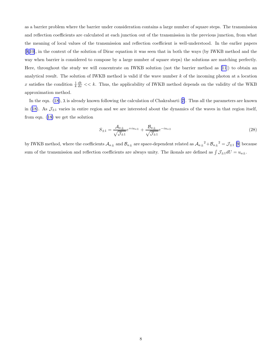<span id="page-8-0"></span>as a barrier problem where the barrier under consideration contains a large number of square steps. The transmission and reflection coefficients are calculated at each junction out of the transmission in the previous junction, from what the meaning of local values of the transmission and reflection coefficient is well-understood. In the earlier papers [[9,10\]](#page-15-0), in the context of the solution of Dirac equation it was seen that in both the ways (by IWKB method and the way when barrier is considered to compose by a large number of square steps) the solutions are matching perfectly. Here, throughout the study we will concentrate on IWKB solution (not the barrier method as [\[11](#page-15-0)]) to obtain an analytical result. The solution of IWKB method is valid if the wave number k of the incoming photon at a location x satisfies the condition  $\frac{1}{k}\frac{dk}{dx} << k$ . Thus, the applicability of IWKB method depends on the validity of the WKB approximation method.

In the eqn. [\(18\)](#page-5-0), $\lambda$  is already known following the calculation of Chakrabarti [[7\]](#page-15-0). Thus all the parameters are known in([18\)](#page-5-0). As  $\mathcal{J}_{\pm 1}$  varies in entire region and we are interested about the dynamics of the waves in that region itself, from eqn.([18\)](#page-5-0) we get the solution

$$
S_{\pm 1} = \frac{\mathcal{A}_{a\pm}}{\sqrt{\mathcal{I}_{\pm 1}}}e^{+iu_{a\pm}} + \frac{\mathcal{B}_{a\pm}}{\sqrt{\mathcal{I}_{\pm 1}}}e^{-iu_{a\pm}} \tag{28}
$$

by IWKB method, where the coefficients  $A_{a\pm}$  and  $B_{a\pm}$  are space-dependent related as  $A_{a\pm}^2 + B_{a\pm}^2 = \mathcal{J}_{\pm 1}$  [\[9](#page-15-0)] because sum of the transmission and reflection coefficients are always unity. The ikonals are defined as  $\int \mathcal{J}_{\pm 1} dU = u_{a\pm}$ .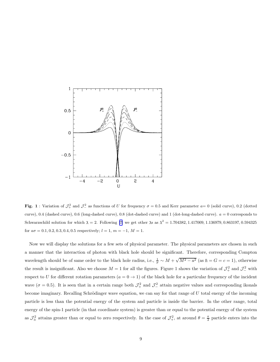

Fig. 1: Variation of  $\mathcal{J}_+^2$  and  $\mathcal{J}_-^2$  as functions of U for frequency  $\sigma = 0.5$  and Kerr parameter  $a = 0$  (solid curve), 0.2 (dotted curve), 0.4 (dashed curve), 0.6 (long-dashed curve), 0.8 (dot-dashed curve) and 1 (dot-long-dashed curve).  $a = 0$  corresponds to Schwarzschild solution for which  $\lambda = 2$ . Following [\[7\]](#page-15-0) we get other  $\lambda$ s as  $\lambda^2 = 1.704382, 1.417009, 1.136979, 0.863197, 0.594325$ for  $a\sigma = 0.1, 0.2, 0.3, 0.4, 0.5$  respectively;  $l = 1, m = -1, M = 1$ .

Now we will display the solutions for a few sets of physical parameter. The physical parameters are chosen in such a manner that the interaction of photon with black hole should be significant. Therefore, corresponding Compton wavelength should be of same order to the black hole radius, i.e.,  $\frac{1}{\sigma} \sim M + \sqrt{M^2 - a^2}$  (as  $\hbar = G = c = 1$ ), otherwise the result is insignificant. Also we choose  $M = 1$  for all the figures. Figure 1 shows the variation of  $\mathcal{J}^2_+$  and  $\mathcal{J}^2_-$  with respect to U for different rotation parameters  $(a = 0 \rightarrow 1)$  of the black hole for a particular frequency of the incident wave ( $\sigma = 0.5$ ). It is seen that in a certain range both  $\mathcal{J}^2_+$  and  $\mathcal{J}^2_-$  attain negative values and corresponding ikonals become imaginary. Recalling Schrödinger wave equation, we can say for that range of  $U$  total energy of the incoming particle is less than the potential energy of the system and particle is inside the barrier. In the other range, total energy of the spin-1 particle (in that coordinate system) is greater than or equal to the potential energy of the system as  $\mathcal{J}_{\pm}^2$  attains greater than or equal to zero respectively. In the case of  $\mathcal{J}_{+}^2$ , at around  $\theta = \frac{\pi}{2}$  particle enters into the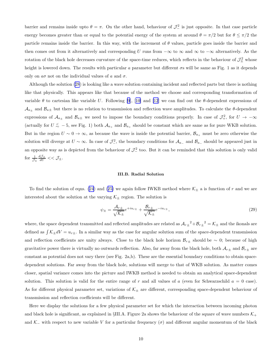barrier and remains inside upto  $\theta = \pi$ . On the other hand, behaviour of  $\mathcal{J}_-^2$  is just opposite. In that case particle energy becomes greater than or equal to the potential energy of the system at around  $\theta = \pi/2$  but for  $\theta \le \pi/2$  the particle remains inside the barrier. In this way, with the increment of  $\theta$  values, particle goes inside the barrier and then comes out from it alternatively and corresponding U runs from  $-\infty$  to  $\infty$  and  $\infty$  to  $-\infty$  alternatively. As the rotation of the black hole decreases curvature of the space-time reduces, which reflects in the behaviour of  $\mathcal{J}^2_{\pm}$  whose height is lowered down. The results with particular a parameter but different σs will be same as Fig. 1 as it depends only on  $a\sigma$  not on the individual values of a and  $\sigma$ .

Although the solution [\(28](#page-8-0)) is looking like a wave solution containing incident and reflected parts but there is nothing like that physically. This appears like that because of the method we choose and corresponding transformation of variable $\theta$  to cartesian like variable U. Following [\[9](#page-15-0)], [[10\]](#page-15-0) and [\[12](#page-15-0)] we can find out the  $\theta$ -dependent expressions of  $A_{a_{\pm}}$  and  $B_{a_{\pm}}$  but there is no relation to transmission and reflection wave amplitudes. To calculate the  $\theta$ -dependent expressions of  $\mathcal{A}_{a_\pm}$  and  $\mathcal{B}_{a_\pm}$  we need to impose the boundary conditions properly. In case of  $\mathcal{J}^2_+$ , for  $U \to -\infty$ (actually for  $U \leq -5$ , see Fig. 1) both  $\mathcal{A}_{a_+}$  and  $\mathcal{B}_{a_+}$  should be constant which are same as for pure WKB solution. But in the region  $U \sim 0 \to \infty$ , as because the wave is inside the potential barrier,  $\mathcal{B}_{a_+}$  must be zero otherwise the solution will diverge at  $U \sim \infty$ . In case of  $\mathcal{J}_{-}^2$ , the boundary conditions for  $\mathcal{A}_{a_-}$  and  $\mathcal{B}_{a_-}$  should be appeared just in an opposite way as is depicted from the behaviour of  $\mathcal{J}^2$  too. But it can be reminded that this solution is only valid for  $\frac{1}{\mathcal{J}_{\pm}}$  $\frac{d\mathcal{J}_\pm}{dU} << \mathcal{J}_\pm.$ 

#### III.B. Radial Solution

To find the solution of eqns. [\(24](#page-6-0))and ([25\)](#page-6-0) we again follow IWKB method where  $\mathcal{K}_{\pm}$  a is function of r and we are interested about the solution at the varying  $\mathcal{K}_{\pm}$  region. The solution is

$$
\psi_{\pm} = \frac{\mathcal{A}_{r\pm}}{\sqrt{\mathcal{K}_{\pm}}}e^{+iu_{r\pm}} + \frac{\mathcal{B}_{r\pm}}{\sqrt{\mathcal{K}_{\pm}}}e^{-iu_{r\pm}},\tag{29}
$$

where, the space dependent transmitted and reflected amplitudes are related as  $A_{r\pm}^2 + B_{r\pm}^2 = \mathcal{K}_{\pm}$  and the ikonals are defined as  $\int \mathcal{K}_{\pm} dV = u_{r\pm}$ . In a similar way as the case for angular solution sum of the space-dependent transmission and reflection coefficients are unity always. Close to the black hole horizon  $\mathcal{B}_{r\pm}$  should be ∼ 0; because of high gravitative power there is virtually no outwards reflection. Also, far away from the black hole, both  $A_{r\pm}$  and  $B_{r\pm}$  are constant as potential does not vary there (see Fig. 2a,b). These are the essential boundary conditions to obtain spacedependent solutions. Far away from the black hole, solutions will merge to that of WKB solution. As matter comes closer, spatial variance comes into the picture and IWKB method is needed to obtain an analytical space-dependent solution. This solution is valid for the entire range of r and all values of a (even for Schwarzschild  $a = 0$  case). As for different physical parameter set, variations of  $K_{\pm}$  are different, corresponding space-dependent behaviour of transmission and reflection coefficients will be different.

Here we display the solutions for a few physical parameter set for which the interaction between incoming photon and black hole is significant, as explained in §III.A. Figure 2a shows the behaviour of the square of wave numbers  $\mathcal{K}_+$ and K<sub>−</sub> with respect to new variable V for a particular frequency ( $\sigma$ ) and different angular momentum of the black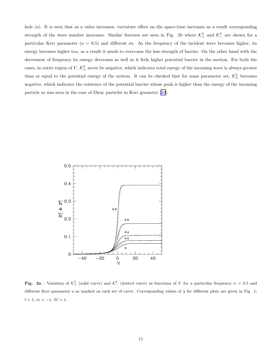hole  $(a)$ . It is seen that as a value increases, curvature effect on the space-time increases as a result corresponding strength of the wave number increases. Similar features are seen in Fig. 2b where  $\mathcal{K}^2_+$  and  $\mathcal{K}^2_-$  are shown for a particular Kerr parameter ( $a = 0.5$ ) and different  $\sigma$ s. As the frequency of the incident wave becomes higher, its energy becomes higher too, as a result it needs to overcome the less strength of barrier. On the other hand with the decrement of frequency its energy decreases as well as it feels higher potential barrier in the motion. For both the cases, in entire region of  $V, K_{\pm}^2$  never be negative, which indicates total energy of the incoming wave is always greater than or equal to the potential energy of the system. It can be checked that for some parameter set,  $\mathcal{K}^2_{\pm}$  becomes negative, which indicates the existence of the potential barrier whose peak is higher than the energy of the incoming particle as was seen in the case of Dirac particles in Kerr geometry [\[10](#page-15-0)].



Fig. 2a : Variation of  $\mathcal{K}^2_+$  (solid curve) and  $\mathcal{K}^2_-$  (dotted curve) as functions of V for a particular frequency  $\sigma = 0.5$  and different Kerr parameter a as marked on each set of curve. Corresponding values of  $\lambda$  for different plots are given in Fig. 1;  $l = 1, m = -1, M = 1.$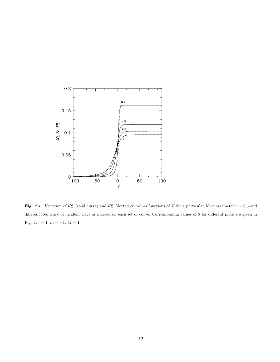

Fig. 2b: Variation of  $\mathcal{K}^2_+$  (solid curve) and  $\mathcal{K}^2_-$  (dotted curve) as functions of V for a particular Kerr parameter  $a = 0.5$  and different frequency of incident wave as marked on each set of curve. Corresponding values of  $\lambda$  for different plots are given in Fig. 1;  $l = 1, m = -1, M = 1$ .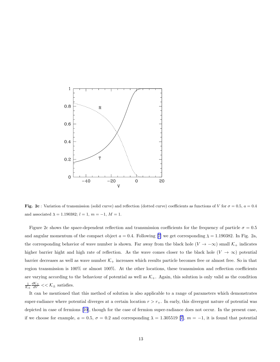

Fig. 2c : Variation of transmission (solid curve) and reflection (dotted curve) coefficients as functions of V for  $\sigma = 0.5$ ,  $a = 0.4$ and associated  $\lambda = 1.190382$ ;  $l = 1, m = -1, M = 1$ .

Figure 2c shows the space-dependent reflection and transmission coefficients for the frequency of particle  $\sigma = 0.5$ andangular momentum of the compact object  $a = 0.4$ . Following [[7\]](#page-15-0) we get corresponding  $\lambda = 1.190382$ . In Fig. 2a, the corresponding behavior of wave number is shown. Far away from the black hole ( $V \to -\infty$ ) small  $\mathcal{K}_+$  indicates higher barrier hight and high rate of reflection. As the wave comes closer to the black hole ( $V \to \infty$ ) potential barrier decreases as well as wave number  $K_{+}$  increases which results particle becomes free or almost free. So in that region transmission is 100% or almost 100%. At the other locations, these transmission and reflection coefficients are varying according to the behaviour of potential as well as  $K_{+}$ . Again, this solution is only valid as the condition  $\frac{1}{\mathcal{K}_{\pm}}$  $\frac{d\mathcal{K}_{\pm}}{dV} << \mathcal{K}_{\pm}$  satisfies.

It can be mentioned that this method of solution is also applicable to a range of parameters which demonstrates super-radiance where potential diverges at a certain location  $r > r_{+}$ . In early, this divergent nature of potential was depicted in case of fermions [\[10](#page-15-0)], though for the case of fermion super-radiance does not occur. In the present case, ifwe choose for example,  $a = 0.5$ ,  $\sigma = 0.2$  and corresponding  $\lambda = 1.305519$  [[7\]](#page-15-0),  $m = -1$ , it is found that potential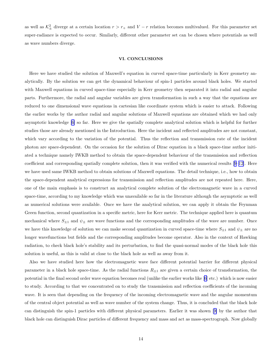as well as  $\mathcal{K}^2_{\pm}$  diverge at a certain location  $r > r_+$  and  $V - r$  relation becomes multivalued. For this parameter set super-radiance is expected to occur. Similarly, different other parameter set can be chosen where potentials as well as wave numbers diverge.

#### VI. CONCLUSIONS

Here we have studied the solution of Maxwell's equation in curved space-time particularly in Kerr geometry analytically. By the solution we can get the dynamical behaviour of spin-1 particles around black holes. We started with Maxwell equations in curved space-time especially in Kerr geometry then separated it into radial and angular parts. Furthermore, the radial and angular variables are given transformation in such a way that the equations are reduced to one dimensional wave equations in cartesian like coordinate system which is easier to attack. Following the earlier works by the author radial and angular solutions of Maxwell equations are obtained which we had only asymptotic knowledge[[6\]](#page-15-0) so far. Here we give the spatially complete analytical solution which is helpful for further studies those are already mentioned in the Introduction. Here the incident and reflected amplitudes are not constant, which vary according to the variation of the potential. Thus the reflection and transmission rate of the incident photon are space-dependent. On the occasion for the solution of Dirac equation in a black space-time author initiated a technique namely IWKB method to obtain the space-dependent behaviour of the transmission and reflection coefficient and corresponding spatially complete solution, then it was verified with the numerical results [\[9–12](#page-15-0)]. Here we have used same IWKB method to obtain solutions of Maxwell equations. The detail technique, i.e., how to obtain the space-dependent analytical expressions for transmission and reflection amplitudes are not repeated here. Here, one of the main emphasis is to construct an analytical complete solution of the electromagnetic wave in a curved space-time, according to my knowledge which was unavailable so far in the literature although the asymptotic as well as numerical solutions were available. Once we have the analytical solution, we can apply it obtain the Feynman Green function, second quantization in a specific metric, here for Kerr metric. The technique applied here is quantum mechanical where  $S_{\pm 1}$  and  $\psi_{\pm}$  are wave functions and the corresponding amplitudes of the wave are number. Once we have this knowledge of solution we can make second quantization in curved space-time where  $S_{\pm 1}$  and  $\psi_{\pm}$  are no longer wavefunctions but fields and the corresponding amplitudes become operator. Also in the context of Hawking radiation, to check black hole's stability and its perturbation, to find the quasi-normal modes of the black hole this solution is useful, as this is valid at close to the black hole as well as away from it.

Also we have studied here how the electromagnetic wave face different potential barrier for different physical parameter in a black hole space-time. As the radial functions  $R_{\pm 1}$  are given a certain choice of transformation, the potential in the final second order wave equation becomes real (unlike the earlier works like [\[6](#page-15-0)] etc.) which is now easier to study. According to that we concentrated on to study the transmission and reflection coefficients of the incoming wave. It is seen that depending on the frequency of the incoming electromagnetic wave and the angular momentum of the central object potential as well as wave number of the system change. Thus, it is concluded that the black hole can distinguish the spin-1 particles with different physical parameters. Earlier it was shown[[9\]](#page-15-0) by the author that black hole can distinguish Dirac particles of different frequency and mass and act as mass-spectrograph. Now globally